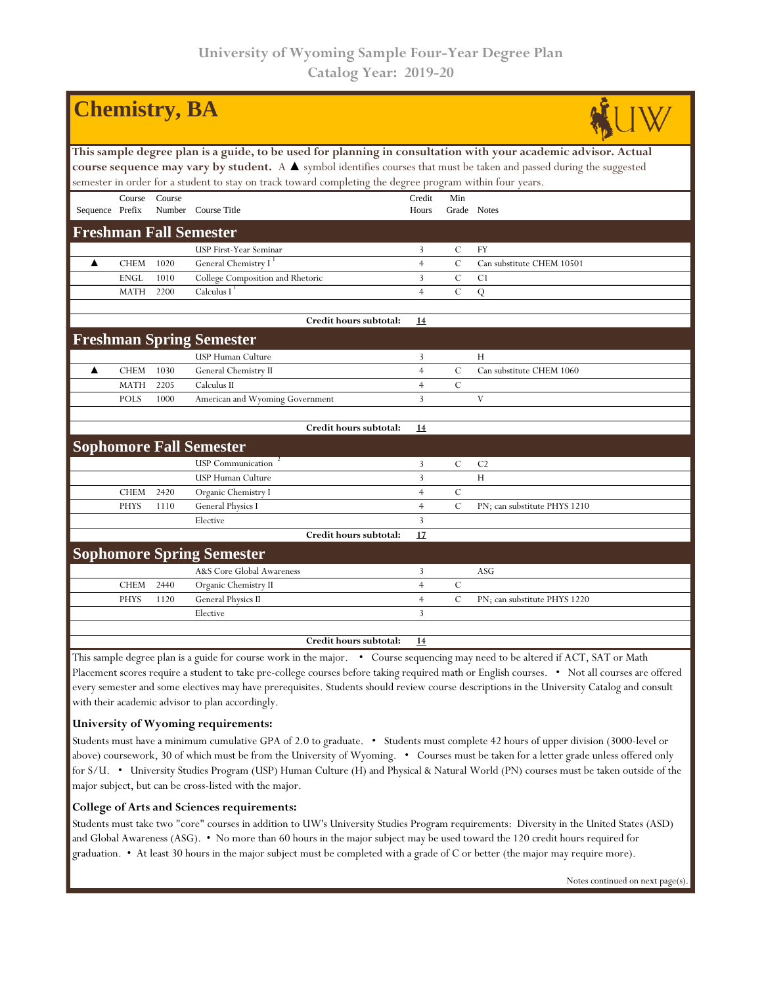| <b>Chemistry</b> , <b>BA</b>                                                                                                                                                                                                                                                    |             |        |                                  |                |               |                              |  |  |  |  |  |
|---------------------------------------------------------------------------------------------------------------------------------------------------------------------------------------------------------------------------------------------------------------------------------|-------------|--------|----------------------------------|----------------|---------------|------------------------------|--|--|--|--|--|
| This sample degree plan is a guide, to be used for planning in consultation with your academic advisor. Actual                                                                                                                                                                  |             |        |                                  |                |               |                              |  |  |  |  |  |
| course sequence may vary by student. A $\blacktriangle$ symbol identifies courses that must be taken and passed during the suggested                                                                                                                                            |             |        |                                  |                |               |                              |  |  |  |  |  |
| semester in order for a student to stay on track toward completing the degree program within four years.                                                                                                                                                                        |             |        |                                  |                |               |                              |  |  |  |  |  |
|                                                                                                                                                                                                                                                                                 | Course      | Course |                                  | Credit         | Min           |                              |  |  |  |  |  |
| Sequence Prefix                                                                                                                                                                                                                                                                 |             |        | Number Course Title              | Hours          |               | Grade Notes                  |  |  |  |  |  |
| <b>Freshman Fall Semester</b>                                                                                                                                                                                                                                                   |             |        |                                  |                |               |                              |  |  |  |  |  |
|                                                                                                                                                                                                                                                                                 |             |        | USP First-Year Seminar           | 3              | $\mathcal{C}$ | FY                           |  |  |  |  |  |
| ▲                                                                                                                                                                                                                                                                               | <b>CHEM</b> | 1020   | General Chemistry I <sup>1</sup> | $\overline{4}$ | $\mathbf C$   | Can substitute CHEM 10501    |  |  |  |  |  |
|                                                                                                                                                                                                                                                                                 | <b>ENGL</b> | 1010   | College Composition and Rhetoric | 3              | $\mathcal{C}$ | C <sub>1</sub>               |  |  |  |  |  |
|                                                                                                                                                                                                                                                                                 | MATH        | 2200   | Calculus $I^{\perp}$             | $\overline{4}$ | $\mathbf C$   | Q                            |  |  |  |  |  |
|                                                                                                                                                                                                                                                                                 |             |        | Credit hours subtotal:           | 14             |               |                              |  |  |  |  |  |
|                                                                                                                                                                                                                                                                                 |             |        | <b>Freshman Spring Semester</b>  |                |               |                              |  |  |  |  |  |
|                                                                                                                                                                                                                                                                                 |             |        | <b>USP Human Culture</b>         | 3              |               | Н                            |  |  |  |  |  |
| ▲                                                                                                                                                                                                                                                                               | <b>CHEM</b> | 1030   | General Chemistry II             | $\overline{4}$ | $\mathcal{C}$ | Can substitute CHEM 1060     |  |  |  |  |  |
|                                                                                                                                                                                                                                                                                 | <b>MATH</b> | 2205   | Calculus II                      | $\overline{4}$ | $\mathbf C$   |                              |  |  |  |  |  |
|                                                                                                                                                                                                                                                                                 | <b>POLS</b> | 1000   | American and Wyoming Government  | $\overline{3}$ |               | V                            |  |  |  |  |  |
|                                                                                                                                                                                                                                                                                 |             |        |                                  |                |               |                              |  |  |  |  |  |
|                                                                                                                                                                                                                                                                                 |             |        | Credit hours subtotal:           | 14             |               |                              |  |  |  |  |  |
|                                                                                                                                                                                                                                                                                 |             |        | <b>Sophomore Fall Semester</b>   |                |               |                              |  |  |  |  |  |
|                                                                                                                                                                                                                                                                                 |             |        | <b>USP</b> Communication         | 3              | $\mathcal{C}$ | C <sub>2</sub>               |  |  |  |  |  |
|                                                                                                                                                                                                                                                                                 |             |        | USP Human Culture                | 3              |               | H                            |  |  |  |  |  |
|                                                                                                                                                                                                                                                                                 | <b>CHEM</b> | 2420   | Organic Chemistry I              | $\overline{4}$ | $\cal C$      |                              |  |  |  |  |  |
|                                                                                                                                                                                                                                                                                 | <b>PHYS</b> | 1110   | General Physics I                | $\overline{4}$ | $\mathcal{C}$ | PN; can substitute PHYS 1210 |  |  |  |  |  |
|                                                                                                                                                                                                                                                                                 |             |        | Elective                         | $\overline{3}$ |               |                              |  |  |  |  |  |
|                                                                                                                                                                                                                                                                                 |             |        | Credit hours subtotal:           | 17             |               |                              |  |  |  |  |  |
|                                                                                                                                                                                                                                                                                 |             |        | <b>Sophomore Spring Semester</b> |                |               |                              |  |  |  |  |  |
|                                                                                                                                                                                                                                                                                 |             |        | A&S Core Global Awareness        | 3              |               | <b>ASG</b>                   |  |  |  |  |  |
|                                                                                                                                                                                                                                                                                 | <b>CHEM</b> | 2440   | Organic Chemistry II             | $\overline{4}$ | $\mathcal{C}$ |                              |  |  |  |  |  |
|                                                                                                                                                                                                                                                                                 | <b>PHYS</b> | 1120   | General Physics II               | $\overline{4}$ | $\mathcal{C}$ | PN; can substitute PHYS 1220 |  |  |  |  |  |
|                                                                                                                                                                                                                                                                                 |             |        | Elective                         | 3              |               |                              |  |  |  |  |  |
|                                                                                                                                                                                                                                                                                 |             |        | Credit hours subtotal:           | 14             |               |                              |  |  |  |  |  |
| This sample degree plan is a guide for course work in the major. • Course sequencing may need to be altered if ACT, SAT or Math<br>Placement scores require a student to take pre-college courses before taking required math or English courses. • Not all courses are offered |             |        |                                  |                |               |                              |  |  |  |  |  |

Placement scores require a student to take pre-college courses before taking required math or English courses. • Not all courses are offered every semester and some electives may have prerequisites. Students should review course descriptions in the University Catalog and consult with their academic advisor to plan accordingly.

## **University of Wyoming requirements:**

Students must have a minimum cumulative GPA of 2.0 to graduate. • Students must complete 42 hours of upper division (3000-level or above) coursework, 30 of which must be from the University of Wyoming. • Courses must be taken for a letter grade unless offered only for S/U. • University Studies Program (USP) Human Culture (H) and Physical & Natural World (PN) courses must be taken outside of the major subject, but can be cross-listed with the major.

## **College of Arts and Sciences requirements:**

Students must take two "core" courses in addition to UW's University Studies Program requirements: Diversity in the United States (ASD) and Global Awareness (ASG). • No more than 60 hours in the major subject may be used toward the 120 credit hours required for graduation. • At least 30 hours in the major subject must be completed with a grade of C or better (the major may require more).